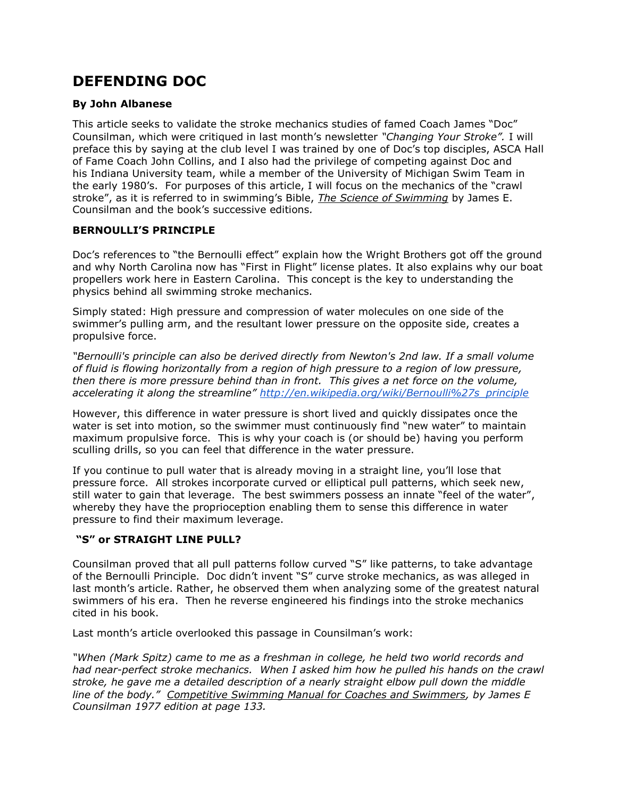# **DEFENDING DOC**

## **By John Albanese**

This article seeks to validate the stroke mechanics studies of famed Coach James "Doc" Counsilman, which were critiqued in last month's newsletter *"Changing Your Stroke".* I will preface this by saying at the club level I was trained by one of Doc's top disciples, ASCA Hall of Fame Coach John Collins, and I also had the privilege of competing against Doc and his Indiana University team, while a member of the University of Michigan Swim Team in the early 1980's. For purposes of this article, I will focus on the mechanics of the "crawl stroke", as it is referred to in swimming's Bible, *The Science of Swimming* by James E. Counsilman and the book's successive editions*.*

## **BERNOULLI'S PRINCIPLE**

Doc's references to "the Bernoulli effect" explain how the Wright Brothers got off the ground and why North Carolina now has "First in Flight" license plates. It also explains why our boat propellers work here in Eastern Carolina. This concept is the key to understanding the physics behind all swimming stroke mechanics.

Simply stated: High pressure and compression of water molecules on one side of the swimmer's pulling arm, and the resultant lower pressure on the opposite side, creates a propulsive force.

*"Bernoulli's principle can also be derived directly from Newton's 2nd law. If a small volume of fluid is flowing horizontally from a region of high pressure to a region of low pressure, then there is more pressure behind than in front. This gives a net force on the volume, accelerating it along the streamline" [http://en.wikipedia.org/wiki/Bernoulli%27s\\_principle](http://en.wikipedia.org/wiki/Bernoulli%27s_principle)*

However, this difference in water pressure is short lived and quickly dissipates once the water is set into motion, so the swimmer must continuously find "new water" to maintain maximum propulsive force. This is why your coach is (or should be) having you perform sculling drills, so you can feel that difference in the water pressure.

If you continue to pull water that is already moving in a straight line, you'll lose that pressure force. All strokes incorporate curved or elliptical pull patterns, which seek new, still water to gain that leverage. The best swimmers possess an innate "feel of the water", whereby they have the proprioception enabling them to sense this difference in water pressure to find their maximum leverage.

#### **"S" or STRAIGHT LINE PULL?**

Counsilman proved that all pull patterns follow curved "S" like patterns, to take advantage of the Bernoulli Principle. Doc didn't invent "S" curve stroke mechanics, as was alleged in last month's article. Rather, he observed them when analyzing some of the greatest natural swimmers of his era. Then he reverse engineered his findings into the stroke mechanics cited in his book.

Last month's article overlooked this passage in Counsilman's work:

*"When (Mark Spitz) came to me as a freshman in college, he held two world records and had near-perfect stroke mechanics. When I asked him how he pulled his hands on the crawl stroke, he gave me a detailed description of a nearly straight elbow pull down the middle line of the body." Competitive Swimming Manual for Coaches and Swimmers, by James E Counsilman 1977 edition at page 133.*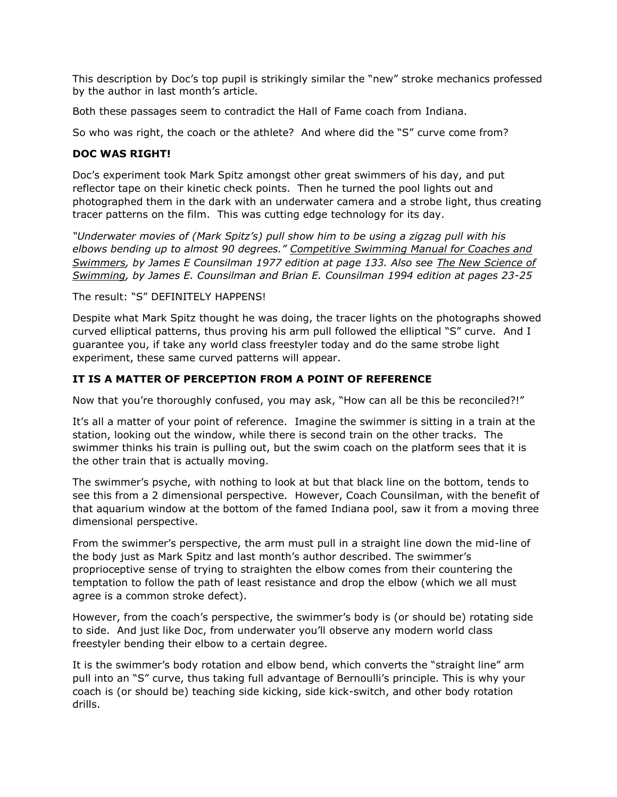This description by Doc's top pupil is strikingly similar the "new" stroke mechanics professed by the author in last month's article.

Both these passages seem to contradict the Hall of Fame coach from Indiana.

So who was right, the coach or the athlete? And where did the "S" curve come from?

## **DOC WAS RIGHT!**

Doc's experiment took Mark Spitz amongst other great swimmers of his day, and put reflector tape on their kinetic check points. Then he turned the pool lights out and photographed them in the dark with an underwater camera and a strobe light, thus creating tracer patterns on the film. This was cutting edge technology for its day.

*"Underwater movies of (Mark Spitz's) pull show him to be using a zigzag pull with his elbows bending up to almost 90 degrees." Competitive Swimming Manual for Coaches and Swimmers, by James E Counsilman 1977 edition at page 133. Also see The New Science of Swimming, by James E. Counsilman and Brian E. Counsilman 1994 edition at pages 23-25*

The result: "S" DEFINITELY HAPPENS!

Despite what Mark Spitz thought he was doing, the tracer lights on the photographs showed curved elliptical patterns, thus proving his arm pull followed the elliptical "S" curve. And I guarantee you, if take any world class freestyler today and do the same strobe light experiment, these same curved patterns will appear.

# **IT IS A MATTER OF PERCEPTION FROM A POINT OF REFERENCE**

Now that you're thoroughly confused, you may ask, "How can all be this be reconciled?!"

It's all a matter of your point of reference. Imagine the swimmer is sitting in a train at the station, looking out the window, while there is second train on the other tracks. The swimmer thinks his train is pulling out, but the swim coach on the platform sees that it is the other train that is actually moving.

The swimmer's psyche, with nothing to look at but that black line on the bottom, tends to see this from a 2 dimensional perspective. However, Coach Counsilman, with the benefit of that aquarium window at the bottom of the famed Indiana pool, saw it from a moving three dimensional perspective.

From the swimmer's perspective, the arm must pull in a straight line down the mid-line of the body just as Mark Spitz and last month's author described. The swimmer's proprioceptive sense of trying to straighten the elbow comes from their countering the temptation to follow the path of least resistance and drop the elbow (which we all must agree is a common stroke defect).

However, from the coach's perspective, the swimmer's body is (or should be) rotating side to side. And just like Doc, from underwater you'll observe any modern world class freestyler bending their elbow to a certain degree.

It is the swimmer's body rotation and elbow bend, which converts the "straight line" arm pull into an "S" curve, thus taking full advantage of Bernoulli's principle. This is why your coach is (or should be) teaching side kicking, side kick-switch, and other body rotation drills.